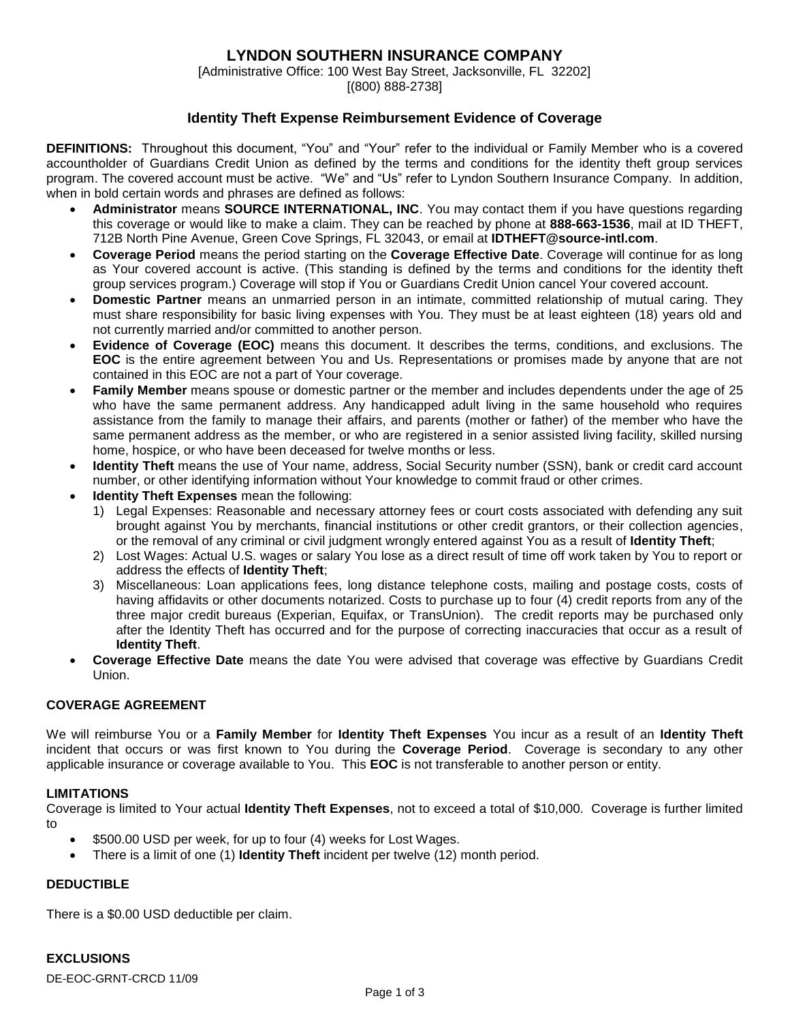# **LYNDON SOUTHERN INSURANCE COMPANY**

[Administrative Office: 100 West Bay Street, Jacksonville, FL 32202] [(800) 888-2738]

## **Identity Theft Expense Reimbursement Evidence of Coverage**

**DEFINITIONS:** Throughout this document, "You" and "Your" refer to the individual or Family Member who is a covered accountholder of Guardians Credit Union as defined by the terms and conditions for the identity theft group services program. The covered account must be active. "We" and "Us" refer to Lyndon Southern Insurance Company. In addition, when in bold certain words and phrases are defined as follows:

- **Administrator** means **SOURCE INTERNATIONAL, INC**. You may contact them if you have questions regarding this coverage or would like to make a claim. They can be reached by phone at **888-663-1536**, mail at ID THEFT, 712B North Pine Avenue, Green Cove Springs, FL 32043, or email at **IDTHEFT@source-intl.com**.
- **Coverage Period** means the period starting on the **Coverage Effective Date**. Coverage will continue for as long as Your covered account is active. (This standing is defined by the terms and conditions for the identity theft group services program.) Coverage will stop if You or Guardians Credit Union cancel Your covered account.
- **Domestic Partner** means an unmarried person in an intimate, committed relationship of mutual caring. They must share responsibility for basic living expenses with You. They must be at least eighteen (18) years old and not currently married and/or committed to another person.
- **Evidence of Coverage (EOC)** means this document. It describes the terms, conditions, and exclusions. The **EOC** is the entire agreement between You and Us. Representations or promises made by anyone that are not contained in this EOC are not a part of Your coverage.
- **Family Member** means spouse or domestic partner or the member and includes dependents under the age of 25 who have the same permanent address. Any handicapped adult living in the same household who requires assistance from the family to manage their affairs, and parents (mother or father) of the member who have the same permanent address as the member, or who are registered in a senior assisted living facility, skilled nursing home, hospice, or who have been deceased for twelve months or less.
- **Identity Theft** means the use of Your name, address, Social Security number (SSN), bank or credit card account number, or other identifying information without Your knowledge to commit fraud or other crimes.
- **Identity Theft Expenses** mean the following:
	- 1) Legal Expenses: Reasonable and necessary attorney fees or court costs associated with defending any suit brought against You by merchants, financial institutions or other credit grantors, or their collection agencies, or the removal of any criminal or civil judgment wrongly entered against You as a result of **Identity Theft**;
	- 2) Lost Wages: Actual U.S. wages or salary You lose as a direct result of time off work taken by You to report or address the effects of **Identity Theft**;
	- 3) Miscellaneous: Loan applications fees, long distance telephone costs, mailing and postage costs, costs of having affidavits or other documents notarized. Costs to purchase up to four (4) credit reports from any of the three major credit bureaus (Experian, Equifax, or TransUnion). The credit reports may be purchased only after the Identity Theft has occurred and for the purpose of correcting inaccuracies that occur as a result of **Identity Theft**.
- **Coverage Effective Date** means the date You were advised that coverage was effective by Guardians Credit Union.

## **COVERAGE AGREEMENT**

We will reimburse You or a **Family Member** for **Identity Theft Expenses** You incur as a result of an **Identity Theft** incident that occurs or was first known to You during the **Coverage Period**. Coverage is secondary to any other applicable insurance or coverage available to You. This **EOC** is not transferable to another person or entity.

#### **LIMITATIONS**

Coverage is limited to Your actual **Identity Theft Expenses**, not to exceed a total of \$10,000. Coverage is further limited to

- \$500.00 USD per week, for up to four (4) weeks for Lost Wages.
- There is a limit of one (1) **Identity Theft** incident per twelve (12) month period.

## **DEDUCTIBLE**

There is a \$0.00 USD deductible per claim.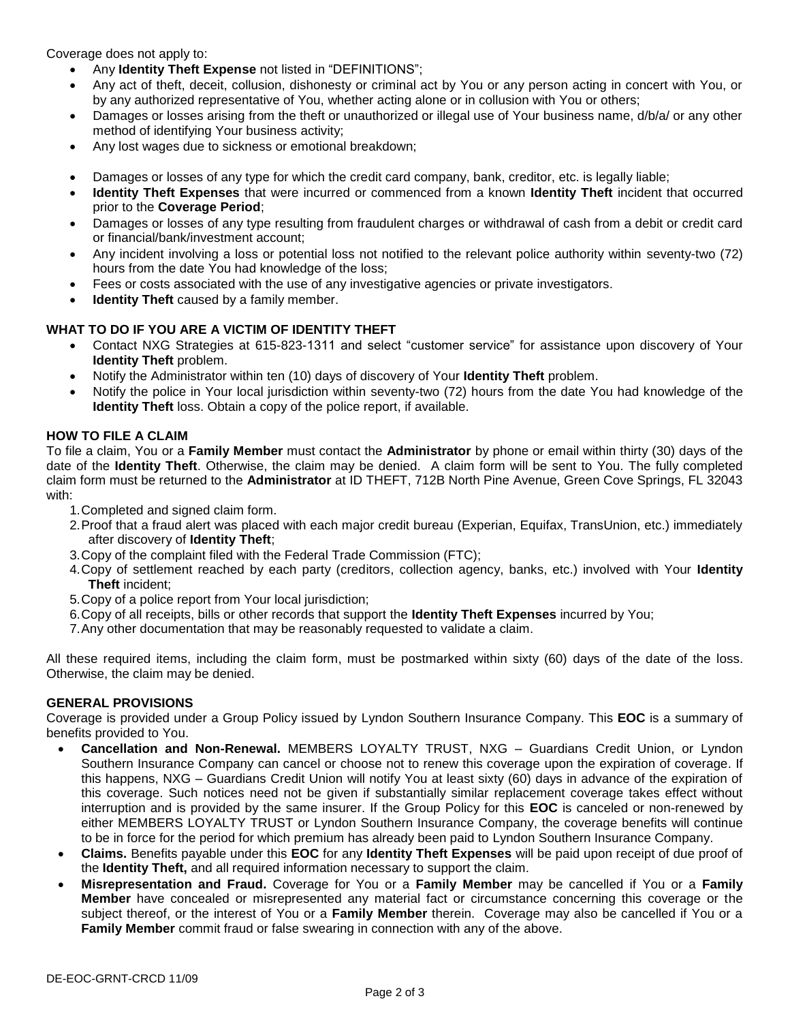Coverage does not apply to:

- Any **Identity Theft Expense** not listed in "DEFINITIONS";
- Any act of theft, deceit, collusion, dishonesty or criminal act by You or any person acting in concert with You, or by any authorized representative of You, whether acting alone or in collusion with You or others;
- Damages or losses arising from the theft or unauthorized or illegal use of Your business name, d/b/a/ or any other method of identifying Your business activity;
- Any lost wages due to sickness or emotional breakdown;
- Damages or losses of any type for which the credit card company, bank, creditor, etc. is legally liable;
- **Identity Theft Expenses** that were incurred or commenced from a known **Identity Theft** incident that occurred prior to the **Coverage Period**;
- Damages or losses of any type resulting from fraudulent charges or withdrawal of cash from a debit or credit card or financial/bank/investment account;
- Any incident involving a loss or potential loss not notified to the relevant police authority within seventy-two (72) hours from the date You had knowledge of the loss;
- Fees or costs associated with the use of any investigative agencies or private investigators.
- **Identity Theft** caused by a family member.

#### **WHAT TO DO IF YOU ARE A VICTIM OF IDENTITY THEFT**

- Contact NXG Strategies at 615-823-1311 and select "customer service" for assistance upon discovery of Your **Identity Theft** problem.
- Notify the Administrator within ten (10) days of discovery of Your **Identity Theft** problem.
- Notify the police in Your local jurisdiction within seventy-two (72) hours from the date You had knowledge of the **Identity Theft** loss. Obtain a copy of the police report, if available.

## **HOW TO FILE A CLAIM**

To file a claim, You or a **Family Member** must contact the **Administrator** by phone or email within thirty (30) days of the date of the **Identity Theft**. Otherwise, the claim may be denied. A claim form will be sent to You. The fully completed claim form must be returned to the **Administrator** at ID THEFT, 712B North Pine Avenue, Green Cove Springs, FL 32043 with:

- 1. Completed and signed claim form.
- 2. Proof that a fraud alert was placed with each major credit bureau (Experian, Equifax, TransUnion, etc.) immediately after discovery of **Identity Theft**;
- 3. Copy of the complaint filed with the Federal Trade Commission (FTC);
- 4. Copy of settlement reached by each party (creditors, collection agency, banks, etc.) involved with Your **Identity Theft** incident;
- 5. Copy of a police report from Your local jurisdiction;
- 6. Copy of all receipts, bills or other records that support the **Identity Theft Expenses** incurred by You;
- 7. Any other documentation that may be reasonably requested to validate a claim.

All these required items, including the claim form, must be postmarked within sixty (60) days of the date of the loss. Otherwise, the claim may be denied.

#### **GENERAL PROVISIONS**

Coverage is provided under a Group Policy issued by Lyndon Southern Insurance Company. This **EOC** is a summary of benefits provided to You.

- **Cancellation and Non-Renewal.** MEMBERS LOYALTY TRUST, NXG Guardians Credit Union, or Lyndon Southern Insurance Company can cancel or choose not to renew this coverage upon the expiration of coverage. If this happens, NXG – Guardians Credit Union will notify You at least sixty (60) days in advance of the expiration of this coverage. Such notices need not be given if substantially similar replacement coverage takes effect without interruption and is provided by the same insurer. If the Group Policy for this **EOC** is canceled or non-renewed by either MEMBERS LOYALTY TRUST or Lyndon Southern Insurance Company, the coverage benefits will continue to be in force for the period for which premium has already been paid to Lyndon Southern Insurance Company.
- **Claims.** Benefits payable under this **EOC** for any **Identity Theft Expenses** will be paid upon receipt of due proof of the **Identity Theft,** and all required information necessary to support the claim.
- **Misrepresentation and Fraud.** Coverage for You or a **Family Member** may be cancelled if You or a **Family Member** have concealed or misrepresented any material fact or circumstance concerning this coverage or the subject thereof, or the interest of You or a **Family Member** therein. Coverage may also be cancelled if You or a **Family Member** commit fraud or false swearing in connection with any of the above.